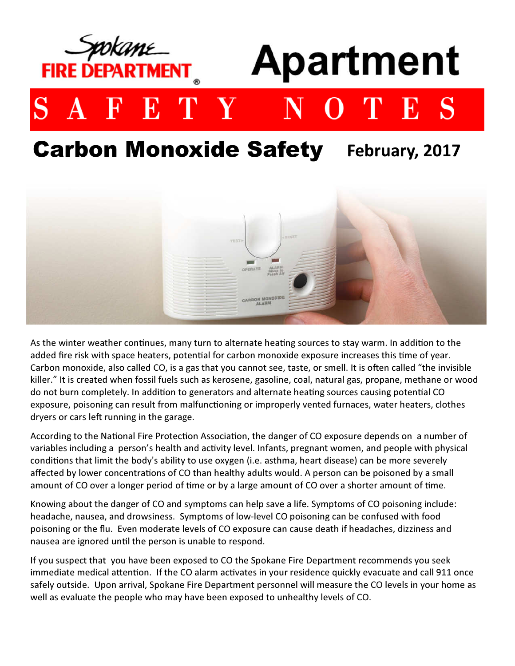

# **Carbon Monoxide Safety** February, 2017



As the winter weather continues, many turn to alternate heating sources to stay warm. In addition to the added fire risk with space heaters, potential for carbon monoxide exposure increases this time of year. Carbon monoxide, also called CO, is a gas that you cannot see, taste, or smell. It is often called "the invisible killer." It is created when fossil fuels such as kerosene, gasoline, coal, natural gas, propane, methane or wood do not burn completely. In addition to generators and alternate heating sources causing potential CO exposure, poisoning can result from malfunctioning or improperly vented furnaces, water heaters, clothes dryers or cars left running in the garage.

According to the National Fire Protection Association, the danger of CO exposure depends on a number of variables including a person's health and activity level. Infants, pregnant women, and people with physical conditions that limit the body's ability to use oxygen (i.e. asthma, heart disease) can be more severely affected by lower concentrations of CO than healthy adults would. A person can be poisoned by a small amount of CO over a longer period of time or by a large amount of CO over a shorter amount of time.

Knowing about the danger of CO and symptoms can help save a life. Symptoms of CO poisoning include: headache, nausea, and drowsiness. Symptoms of low-level CO poisoning can be confused with food poisoning or the flu. Even moderate levels of CO exposure can cause death if headaches, dizziness and nausea are ignored until the person is unable to respond.

If you suspect that you have been exposed to CO the Spokane Fire Department recommends you seek immediate medical attention. If the CO alarm activates in your residence quickly evacuate and call 911 once safely outside. Upon arrival, Spokane Fire Department personnel will measure the CO levels in your home as well as evaluate the people who may have been exposed to unhealthy levels of CO.